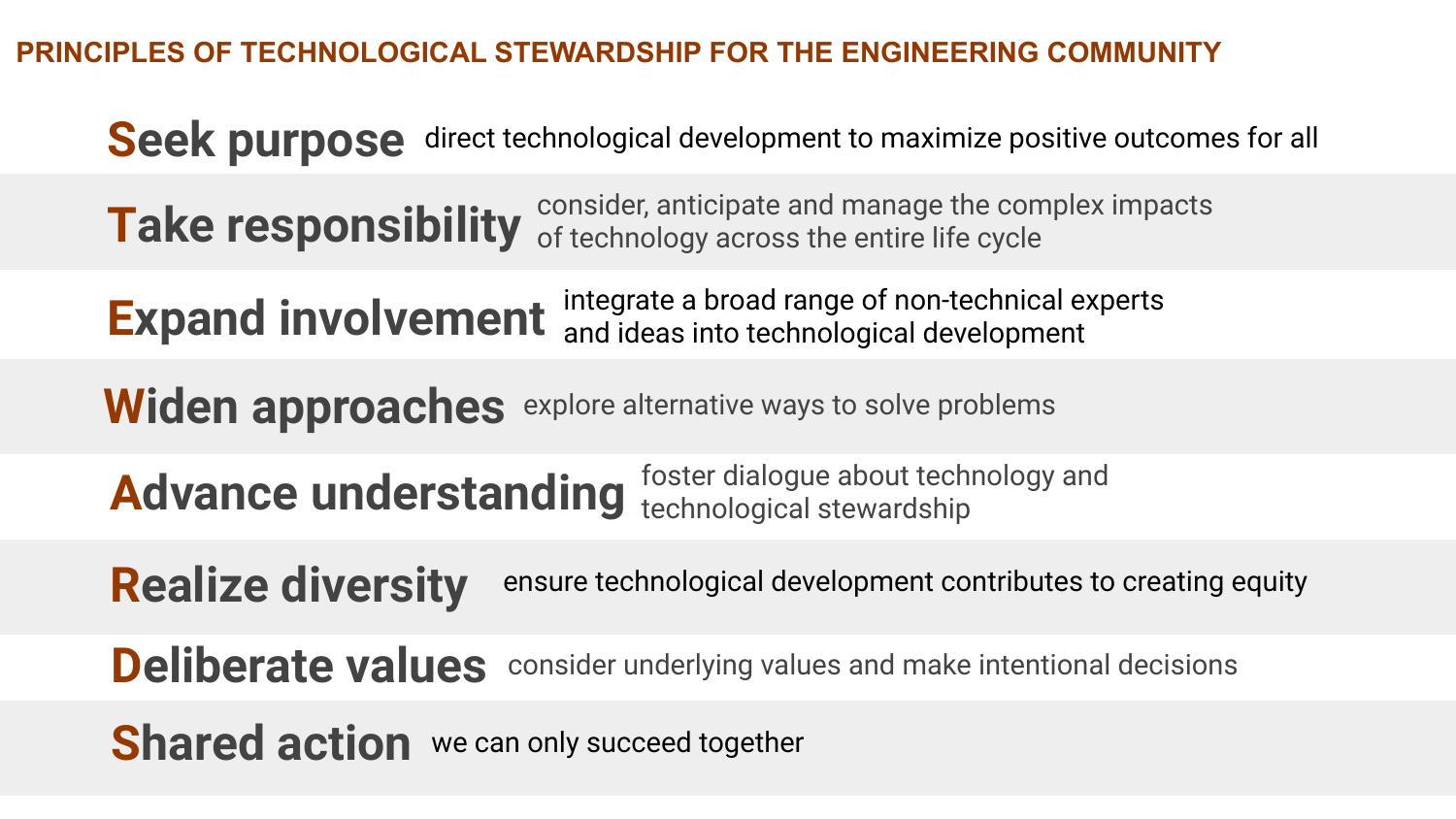PRINCIPLES OF TECHNOLOGICAL STEWARDSHIP FOR THE ENGINEERING COMMUNITY

Seek purpose direct technological development to maximize positive outcomes for all

Take responsibility of technology across the entire life cycle consider, anticipate and manage the complex impacts

Expand involvement integrate a broad range of non-technical experts and ideas into technological development

Widen approaches explore alternative ways to solve problems

Advance understanding foster dialogue about technology and technological stewardship

Realize diversity ensure technological development contributes to creating equity

Deliberate values consider underlying values and make intentional decisions

**Shared action** we can only succeed together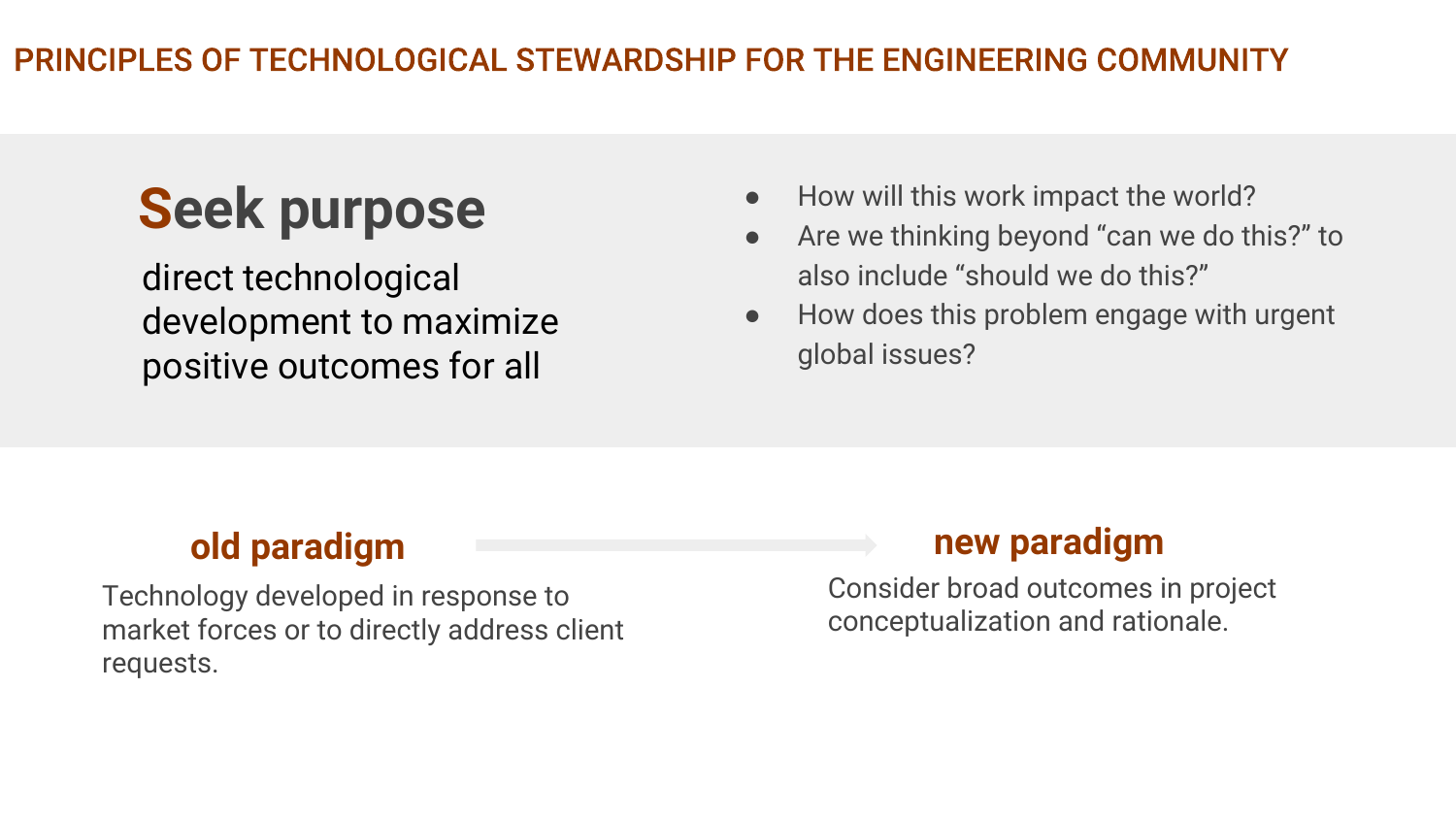# Seek purpose

direct technological development to maximize positive outcomes for all

- How will this work impact the world?
- Are we thinking beyond "can we do this?" to also include "should we do this?"
- How does this problem engage with urgent global issues?

Technology developed in response to market forces or to directly address client requests.

## old paradigm and the contract of the paradigm of the paradigm

Consider broad outcomes in project conceptualization and rationale.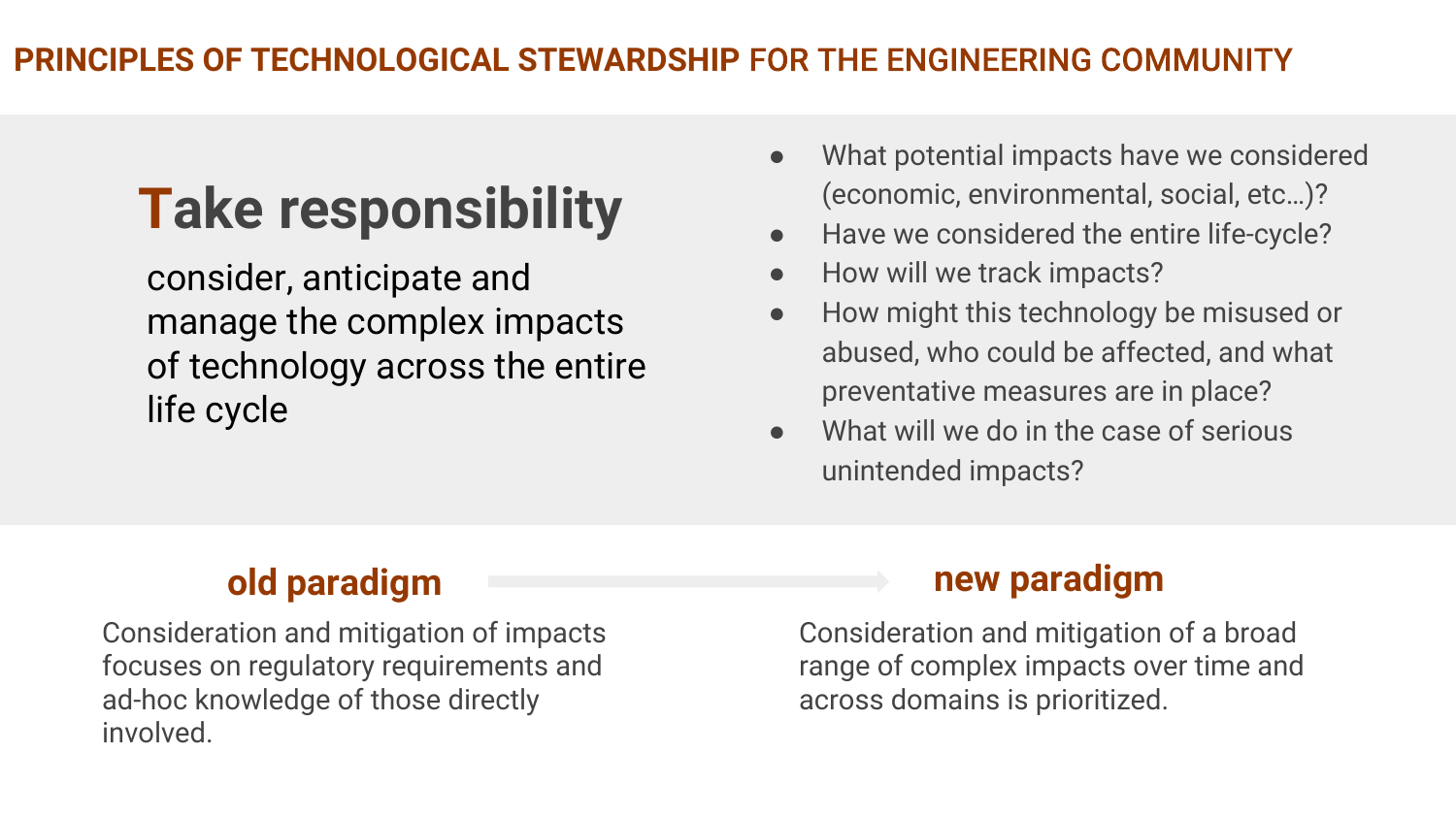# Take responsibility

consider, anticipate and manage the complex impacts of technology across the entire life cycle

- What potential impacts have we considered (economic, environmental, social, etc…)?
- Have we considered the entire life-cycle?
- How will we track impacts?
- How might this technology be misused or abused, who could be affected, and what preventative measures are in place?
- What will we do in the case of serious unintended impacts?

Consideration and mitigation of impacts focuses on regulatory requirements and ad-hoc knowledge of those directly involved.

## old paradigm new paradigm

Consideration and mitigation of a broad range of complex impacts over time and across domains is prioritized.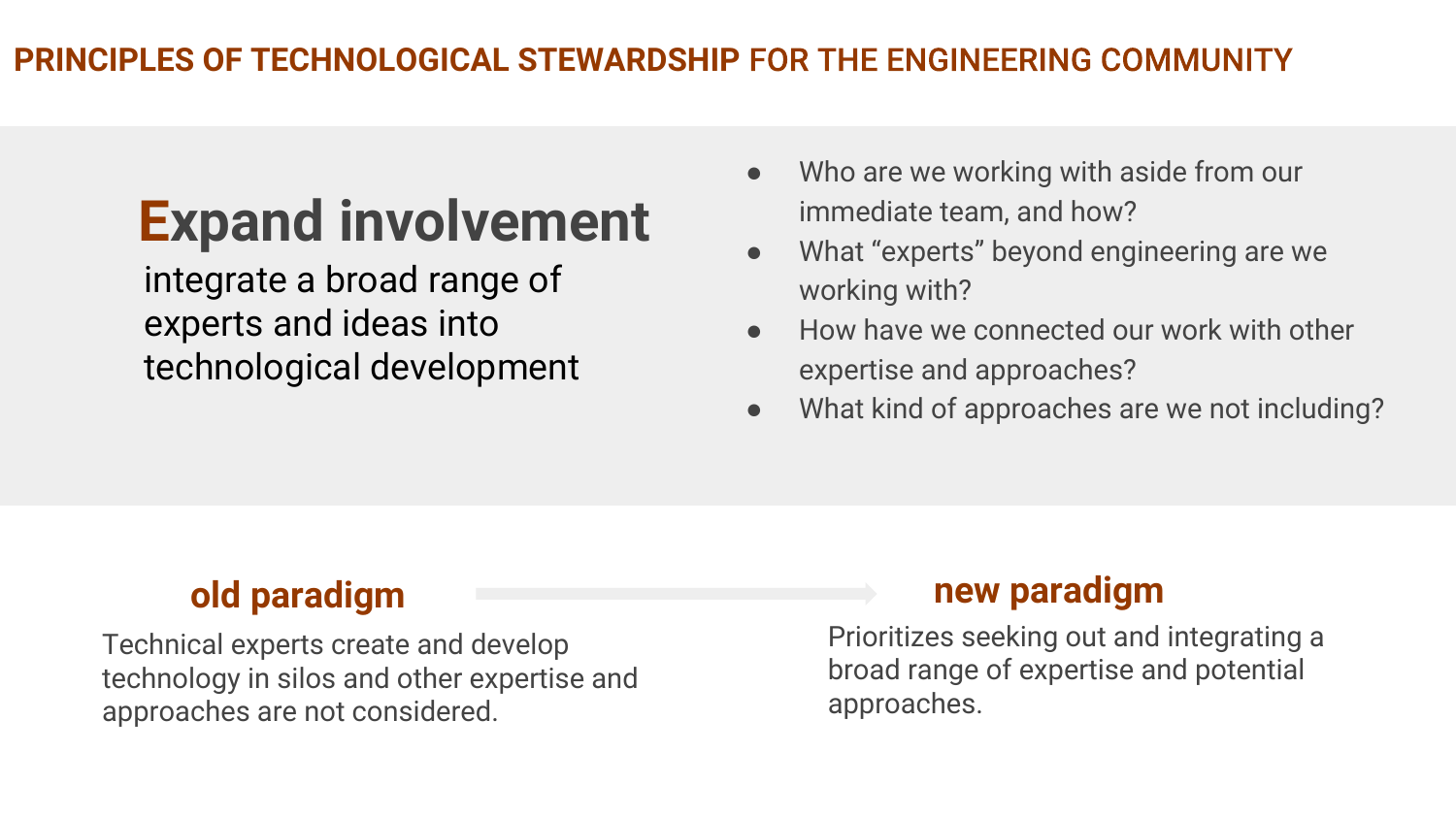# Expand involvement

integrate a broad range of experts and ideas into technological development

- Who are we working with aside from our immediate team, and how?
- What "experts" beyond engineering are we working with?
- How have we connected our work with other expertise and approaches?
- What kind of approaches are we not including?

Technical experts create and develop technology in silos and other expertise and approaches are not considered.

## old paradigm and the contract of the paradigm of the paradigm

Prioritizes seeking out and integrating a broad range of expertise and potential approaches.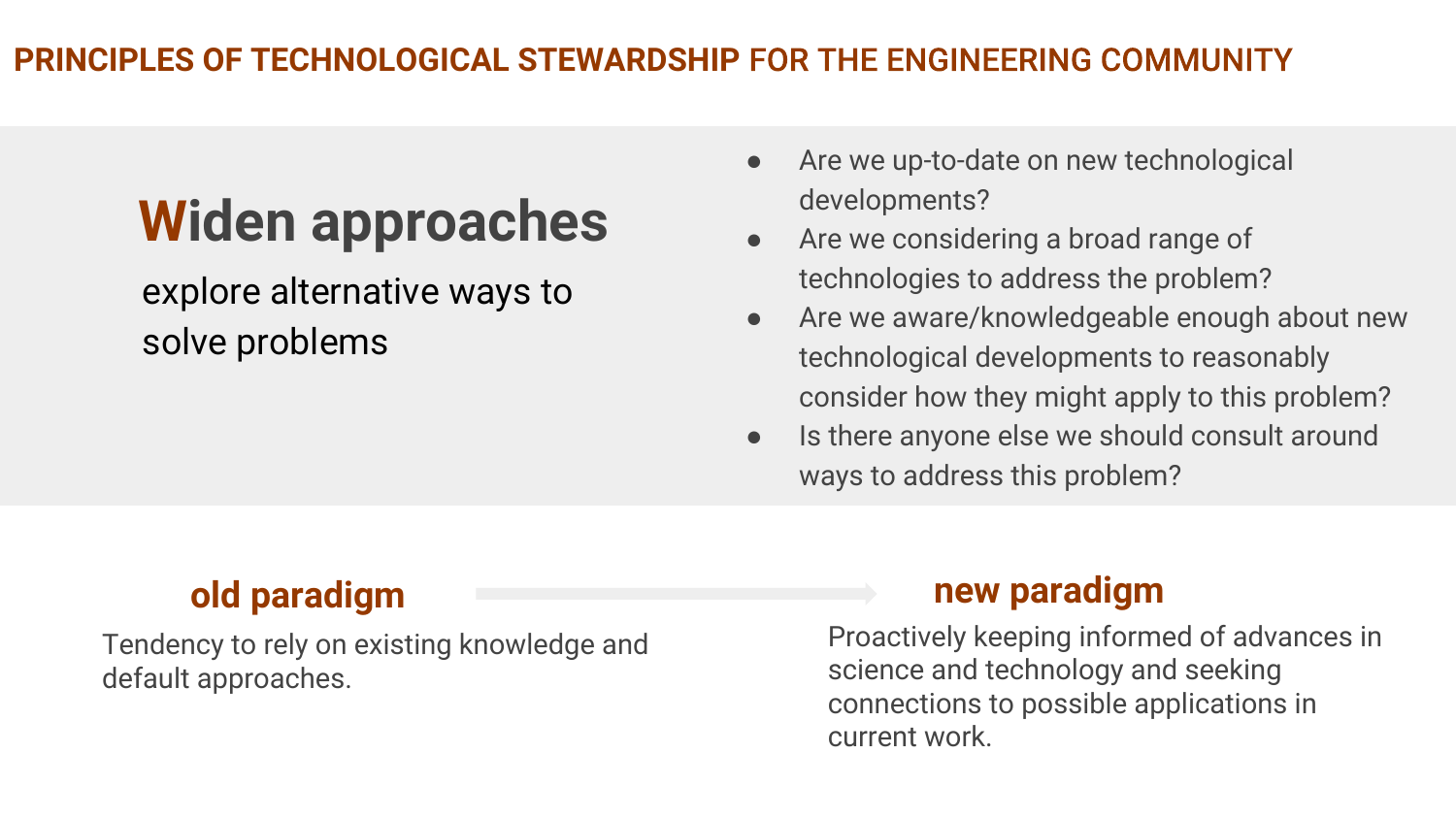## PRINCIPLES OF TECHNOLOGICAL STEWARDSHIP

# Widen approaches

explore alternative ways to solve problems

- Are we up-to-date on new technological developments?
- Are we considering a broad range of technologies to address the problem?
- Are we aware/knowledgeable enough about new technological developments to reasonably consider how they might apply to this problem?
- Is there anyone else we should consult around ways to address this problem?

## old paradigm and the contract of the paradigm of the paradigm

Tendency to rely on existing knowledge and default approaches.

Proactively keeping informed of advances in science and technology and seeking connections to possible applications in current work.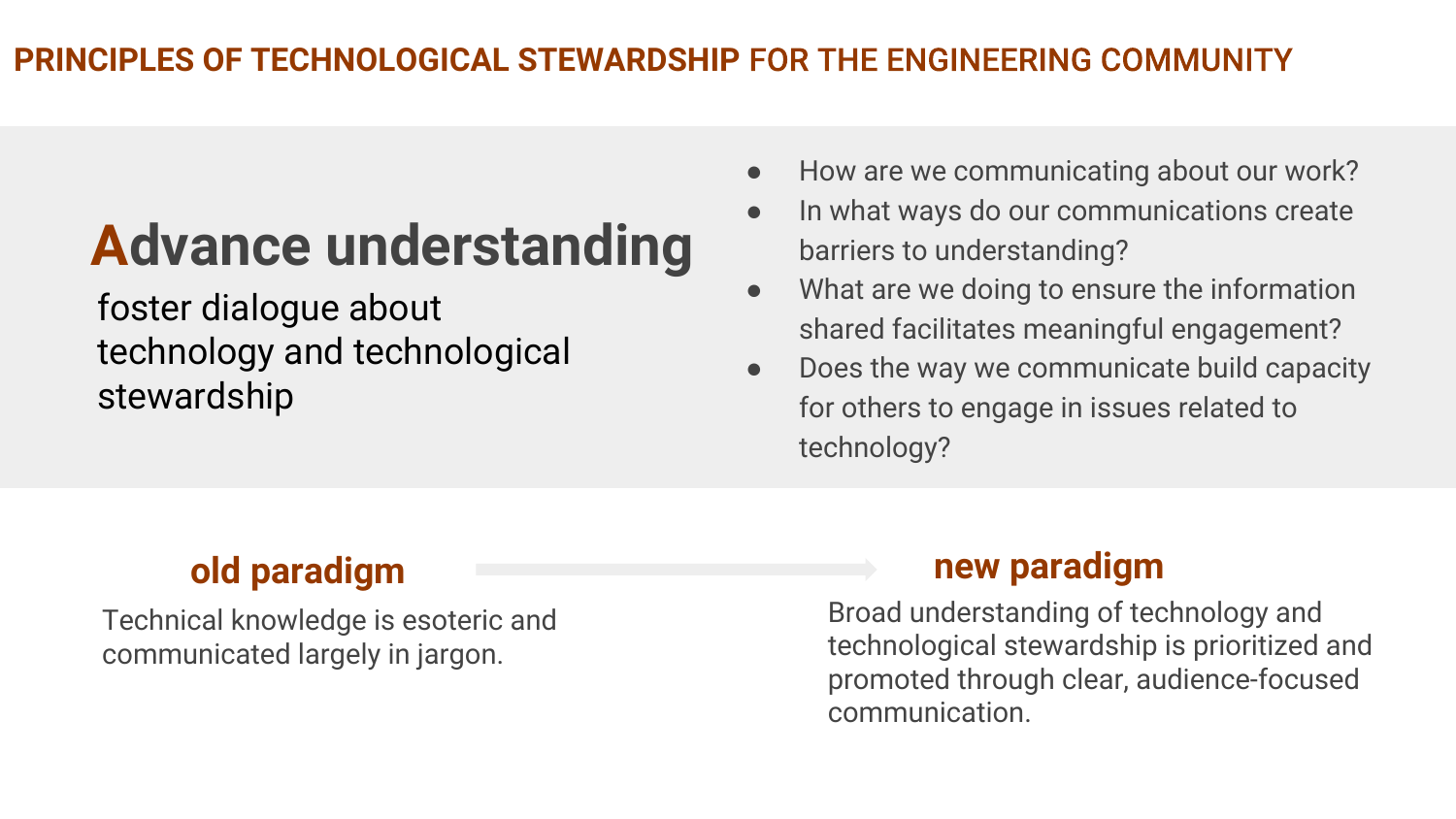# Advance understanding

foster dialogue about technology and technological stewardship

## ● How are we communicating about our work?

- In what ways do our communications create barriers to understanding?
- What are we doing to ensure the information shared facilitates meaningful engagement?
- Does the way we communicate build capacity for others to engage in issues related to technology?

Technical knowledge is esoteric and communicated largely in jargon.

## old paradigm and the state of the paradigm of the paradigm of the paradigm

Broad understanding of technology and technological stewardship is prioritized and promoted through clear, audience-focused communication.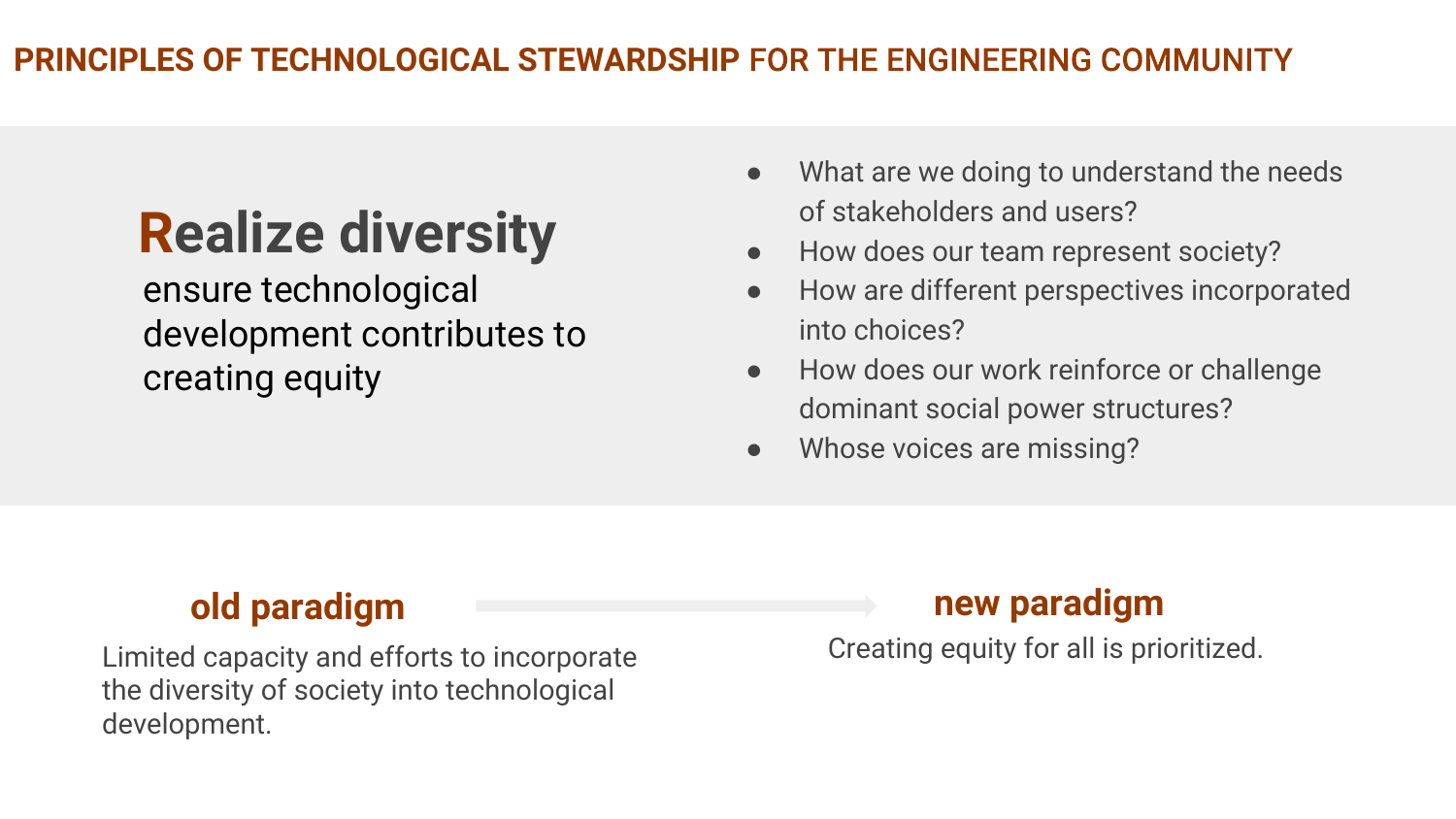# Realize diversity

ensure technological development contributes to creating equity

- What are we doing to understand the needs of stakeholders and users?
- How does our team represent society?
- How are different perspectives incorporated into choices?
- How does our work reinforce or challenge dominant social power structures?
- Whose voices are missing?

Limited capacity and efforts to incorporate the diversity of society into technological development.

## old paradigm and the contract of the paradigm of the paradigm

Creating equity for all is prioritized.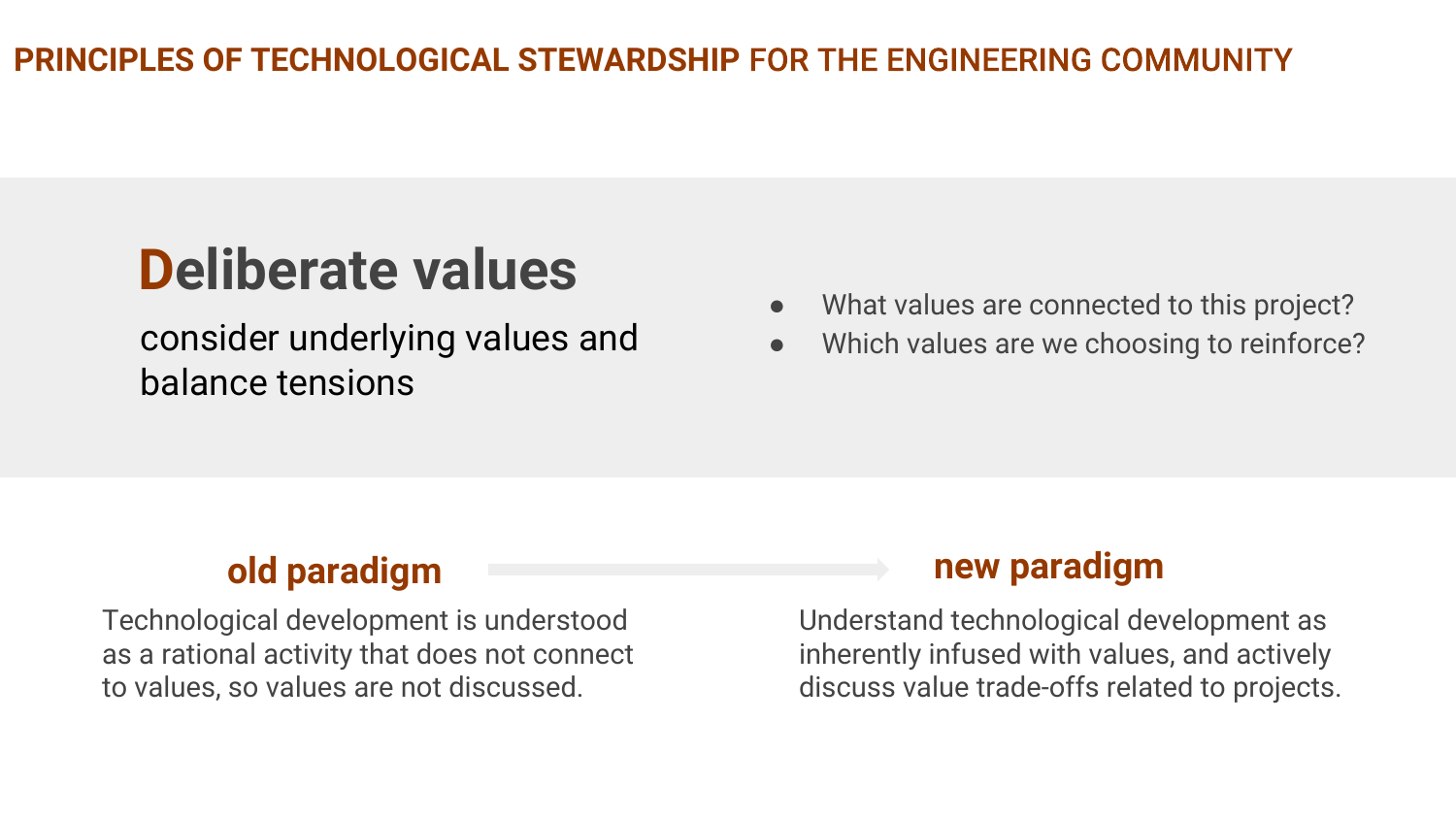# Deliberate values

consider underlying values and balance tensions

- What values are connected to this project?
- Which values are we choosing to reinforce?

Technological development is understood as a rational activity that does not connect to values, so values are not discussed.

## old paradigm new paradigm

Understand technological development as inherently infused with values, and actively discuss value trade-offs related to projects.